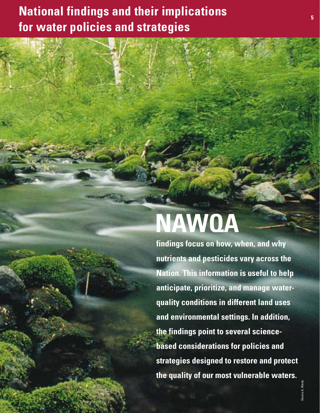# **NAWQA**

**findings focus on how, when, and why nutrients and pesticides vary across the Nation. This information is useful to help anticipate, prioritize, and manage waterquality conditions in different land uses and environmental settings. In addition, the findings point to several sciencebased considerations for policies and strategies designed to restore and protect the quality of our most vulnerable waters.**

Dennis A. Wentz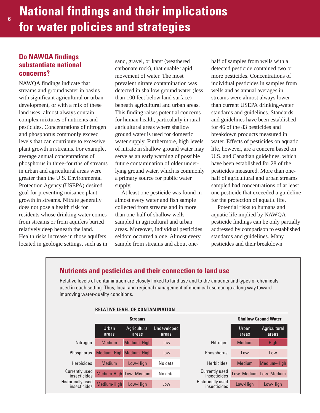### **Do NAWQA findings substantiate national concerns?**

**6**

NAWQA findings indicate that streams and ground water in basins with significant agricultural or urban development, or with a mix of these land uses, almost always contain complex mixtures of nutrients and pesticides. Concentrations of nitrogen and phosphorus commonly exceed levels that can contribute to excessive plant growth in streams. For example, average annual concentrations of phosphorus in three-fourths of streams in urban and agricultural areas were greater than the U.S. Environmental Protection Agency (USEPA) desired goal for preventing nuisance plant growth in streams. Nitrate generally does not pose a health risk for residents whose drinking water comes from streams or from aquifers buried relatively deep beneath the land. Health risks increase in those aquifers located in geologic settings, such as in

sand, gravel, or karst (weathered carbonate rock), that enable rapid movement of water. The most prevalent nitrate contamination was detected in shallow ground water (less than 100 feet below land surface) beneath agricultural and urban areas. This finding raises potential concerns for human health, particularly in rural agricultural areas where shallow ground water is used for domestic water supply. Furthermore, high levels of nitrate in shallow ground water may serve as an early warning of possible future contamination of older underlying ground water, which is commonly a primary source for public water supply.

At least one pesticide was found in almost every water and fish sample collected from streams and in more than one-half of shallow wells sampled in agricultural and urban areas. Moreover, individual pesticides seldom occurred alone. Almost every sample from streams and about onehalf of samples from wells with a detected pesticide contained two or more pesticides. Concentrations of individual pesticides in samples from wells and as annual averages in streams were almost always lower than current USEPA drinking-water standards and guidelines. Standards and guidelines have been established for 46 of the 83 pesticides and breakdown products measured in water. Effects of pesticides on aquatic life, however, are a concern based on U.S. and Canadian guidelines, which have been established for 28 of the pesticides measured. More than onehalf of agricultural and urban streams sampled had concentrations of at least one pesticide that exceeded a guideline for the protection of aquatic life.

Potential risks to humans and aquatic life implied by NAWQA pesticide findings can be only partially addressed by comparison to established standards and guidelines. Many pesticides and their breakdown

### **Nutrients and pesticides and their connection to land use**

Relative levels of contamination are closely linked to land use and to the amounts and types of chemicals used in each setting. Thus, local and regional management of chemical use can go a long way toward improving water-quality conditions.

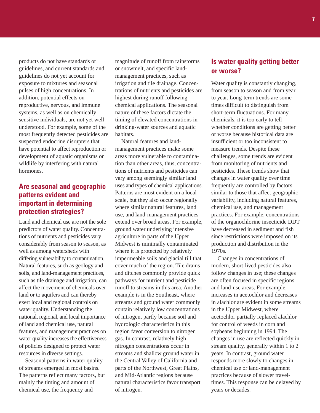products do not have standards or guidelines, and current standards and guidelines do not yet account for exposure to mixtures and seasonal pulses of high concentrations. In addition, potential effects on reproductive, nervous, and immune systems, as well as on chemically sensitive individuals, are not yet well understood. For example, some of the most frequently detected pesticides are suspected endocrine disrupters that have potential to affect reproduction or development of aquatic organisms or wildlife by interfering with natural hormones.

### **Are seasonal and geographic patterns evident and important in determining protection strategies?**

Land and chemical use are not the sole predictors of water quality. Concentrations of nutrients and pesticides vary considerably from season to season, as well as among watersheds with differing vulnerability to contamination. Natural features, such as geology and soils, and land-management practices, such as tile drainage and irrigation, can affect the movement of chemicals over land or to aquifers and can thereby exert local and regional controls on water quality. Understanding the national, regional, and local importance of land and chemical use, natural features, and management practices on water quality increases the effectiveness of policies designed to protect water resources in diverse settings.

Seasonal patterns in water quality of streams emerged in most basins. The patterns reflect many factors, but mainly the timing and amount of chemical use, the frequency and

magnitude of runoff from rainstorms or snowmelt, and specific landmanagement practices, such as irrigation and tile drainage. Concentrations of nutrients and pesticides are highest during runoff following chemical applications. The seasonal nature of these factors dictate the timing of elevated concentrations in drinking-water sources and aquatic habitats.

Natural features and landmanagement practices make some areas more vulnerable to contamination than other areas, thus, concentrations of nutrients and pesticides can vary among seemingly similar land uses and types of chemical applications. Patterns are most evident on a local scale, but they also occur regionally where similar natural features, land use, and land-management practices extend over broad areas. For example, ground water underlying intensive agriculture in parts of the Upper Midwest is minimally contaminated where it is protected by relatively impermeable soils and glacial till that cover much of the region. Tile drains and ditches commonly provide quick pathways for nutrient and pesticide runoff to streams in this area. Another example is in the Southeast, where streams and ground water commonly contain relatively low concentrations of nitrogen, partly because soil and hydrologic characteristics in this region favor conversion to nitrogen gas. In contrast, relatively high nitrogen concentrations occur in streams and shallow ground water in the Central Valley of California and parts of the Northwest, Great Plains, and Mid-Atlantic regions because natural characteristics favor transport of nitrogen.

### **Is water quality getting better or worse?**

Water quality is constantly changing, from season to season and from year to year. Long-term trends are sometimes difficult to distinguish from short-term fluctuations. For many chemicals, it is too early to tell whether conditions are getting better or worse because historical data are insufficient or too inconsistent to measure trends. Despite these challenges, some trends are evident from monitoring of nutrients and pesticides. These trends show that changes in water quality over time frequently are controlled by factors similar to those that affect geographic variability, including natural features, chemical use, and management practices. For example, concentrations of the organochlorine insecticide DDT have decreased in sediment and fish since restrictions were imposed on its production and distribution in the 1970s.

Changes in concentrations of modern, short-lived pesticides also follow changes in use; these changes are often focused in specific regions and land-use areas. For example, increases in acetochlor and decreases in alachlor are evident in some streams in the Upper Midwest, where acetochlor partially replaced alachlor for control of weeds in corn and soybeans beginning in 1994. The changes in use are reflected quickly in stream quality, generally within 1 to 2 years. In contrast, ground water responds more slowly to changes in chemical use or land-management practices because of slower traveltimes. This response can be delayed by years or decades.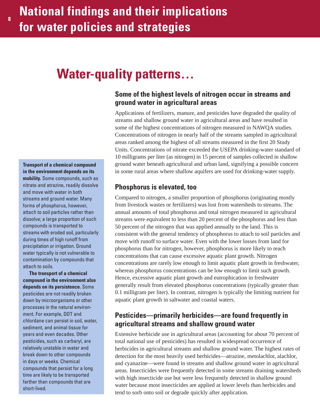# **Water-quality patterns…**

### **Some of the highest levels of nitrogen occur in streams and ground water in agricultural areas**

Applications of fertilizers, manure, and pesticides have degraded the quality of streams and shallow ground water in agricultural areas and have resulted in some of the highest concentrations of nitrogen measured in NAWQA studies. Concentrations of nitrogen in nearly half of the streams sampled in agricultural areas ranked among the highest of all streams measured in the first 20 Study Units. Concentrations of nitrate exceeded the USEPA drinking-water standard of 10 milligrams per liter (as nitrogen) in 15 percent of samples collected in shallow ground water beneath agricultural and urban land, signifying a possible concern in some rural areas where shallow aquifers are used for drinking-water supply.

### **Phosphorus is elevated, too**

Compared to nitrogen, a smaller proportion of phosphorus (originating mostly from livestock wastes or fertilizers) was lost from watersheds to streams. The annual amounts of total phosphorus and total nitrogen measured in agricultural streams were equivalent to less than 20 percent of the phosphorus and less than 50 percent of the nitrogen that was applied annually to the land. This is consistent with the general tendency of phosphorus to attach to soil particles and move with runoff to surface water. Even with the lower losses from land for phosphorus than for nitrogen, however, phosphorus is more likely to reach concentrations that can cause excessive aquatic plant growth. Nitrogen concentrations are rarely low enough to limit aquatic plant growth in freshwater, whereas phosphorus concentrations can be low enough to limit such growth. Hence, excessive aquatic plant growth and eutrophication in freshwater generally result from elevated phosphorus concentrations (typically greater than 0.1 milligram per liter). In contrast, nitrogen is typically the limiting nutrient for aquatic plant growth in saltwater and coastal waters.

### **Pesticides—primarily herbicides—are found frequently in agricultural streams and shallow ground water**

Extensive herbicide use in agricultural areas (accounting for about 70 percent of total national use of pesticides) has resulted in widespread occurrence of herbicides in agricultural streams and shallow ground water. The highest rates of detection for the most heavily used herbicides—atrazine, metolachlor, alachlor, and cyanazine—were found in streams and shallow ground water in agricultural areas. Insecticides were frequently detected in some streams draining watersheds with high insecticide use but were less frequently detected in shallow ground water because most insecticides are applied at lower levels than herbicides and tend to sorb onto soil or degrade quickly after application.

**Transport of a chemical compound in the environment depends on its mobility.** Some compounds, such as nitrate and atrazine, readily dissolve and move with water in both streams and ground water. Many forms of phosphorus, however, attach to soil particles rather than dissolve; a large proportion of such compounds is transported to streams with eroded soil, particularly during times of high runoff from precipitation or irrigation. Ground water typically is not vulnerable to contamination by compounds that attach to soils.

**The transport of a chemical compound in the environment also depends on its persistence.** Some pesticides are not readily broken down by microorganisms or other processes in the natural environment. For example, DDT and chlordane can persist in soil, water, sediment, and animal tissue for years and even decades. Other pesticides, such as carbaryl, are relatively unstable in water and break down to other compounds in days or weeks. Chemical compounds that persist for a long time are likely to be transported farther than compounds that are short-lived.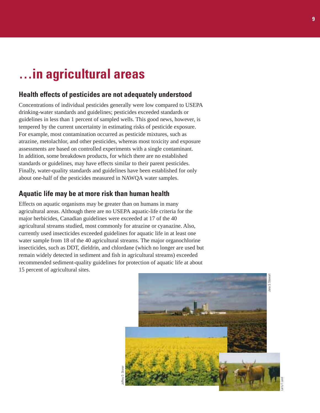# **…in agricultural areas**

### **Health effects of pesticides are not adequately understood**

Concentrations of individual pesticides generally were low compared to USEPA drinking-water standards and guidelines; pesticides exceeded standards or guidelines in less than 1 percent of sampled wells. This good news, however, is tempered by the current uncertainty in estimating risks of pesticide exposure. For example, most contamination occurred as pesticide mixtures, such as atrazine, metolachlor, and other pesticides, whereas most toxicity and exposure assessments are based on controlled experiments with a single contaminant. In addition, some breakdown products, for which there are no established standards or guidelines, may have effects similar to their parent pesticides. Finally, water-quality standards and guidelines have been established for only about one-half of the pesticides measured in NAWQA water samples.

### **Aquatic life may be at more risk than human health**

Effects on aquatic organisms may be greater than on humans in many agricultural areas. Although there are no USEPA aquatic-life criteria for the major herbicides, Canadian guidelines were exceeded at 17 of the 40 agricultural streams studied, most commonly for atrazine or cyanazine. Also, currently used insecticides exceeded guidelines for aquatic life in at least one water sample from 18 of the 40 agricultural streams. The major organochlorine insecticides, such as DDT, dieldrin, and chlordane (which no longer are used but remain widely detected in sediment and fish in agricultural streams) exceeded recommended sediment-quality guidelines for protection of aquatic life at about 15 percent of agricultural sites.

Jeffrey D. Stoner

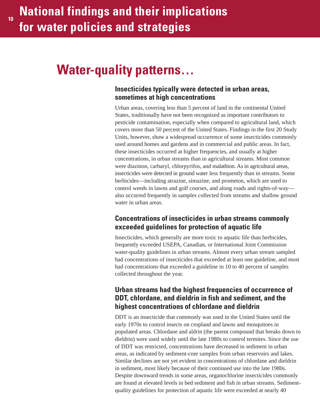# **Water-quality patterns…**

### **Insecticides typically were detected in urban areas, sometimes at high concentrations**

Urban areas, covering less than 5 percent of land in the continental United States, traditionally have not been recognized as important contributors to pesticide contamination, especially when compared to agricultural land, which covers more than 50 percent of the United States. Findings in the first 20 Study Units, however, show a widespread occurrence of some insecticides commonly used around homes and gardens and in commercial and public areas. In fact, these insecticides occurred at higher frequencies, and usually at higher concentrations, in urban streams than in agricultural streams. Most common were diazinon, carbaryl, chlorpyrifos, and malathion. As in agricultural areas, insecticides were detected in ground water less frequently than in streams. Some herbicides—including atrazine, simazine, and prometon, which are used to control weeds in lawns and golf courses, and along roads and rights-of-way also occurred frequently in samples collected from streams and shallow ground water in urban areas.

### **Concentrations of insecticides in urban streams commonly exceeded guidelines for protection of aquatic life**

Insecticides, which generally are more toxic to aquatic life than herbicides, frequently exceeded USEPA, Canadian, or International Joint Commission water-quality guidelines in urban streams. Almost every urban stream sampled had concentrations of insecticides that exceeded at least one guideline, and most had concentrations that exceeded a guideline in 10 to 40 percent of samples collected throughout the year.

### **Urban streams had the highest frequencies of occurrence of DDT, chlordane, and dieldrin in fish and sediment, and the highest concentrations of chlordane and dieldrin**

DDT is an insecticide that commonly was used in the United States until the early 1970s to control insects on cropland and lawns and mosquitoes in populated areas. Chlordane and aldrin (the parent compound that breaks down to dieldrin) were used widely until the late 1980s to control termites. Since the use of DDT was restricted, concentrations have decreased in sediment in urban areas, as indicated by sediment-core samples from urban reservoirs and lakes. Similar declines are not yet evident in concentrations of chlordane and dieldrin in sediment, most likely because of their continued use into the late 1980s. Despite downward trends in some areas, organochlorine insecticides commonly are found at elevated levels in bed sediment and fish in urban streams. Sedimentquality guidelines for protection of aquatic life were exceeded at nearly 40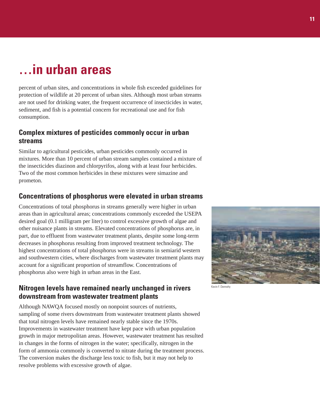# **…in urban areas**

percent of urban sites, and concentrations in whole fish exceeded guidelines for protection of wildlife at 20 percent of urban sites. Although most urban streams are not used for drinking water, the frequent occurrence of insecticides in water, sediment, and fish is a potential concern for recreational use and for fish consumption.

### **Complex mixtures of pesticides commonly occur in urban streams**

Similar to agricultural pesticides, urban pesticides commonly occurred in mixtures. More than 10 percent of urban stream samples contained a mixture of the insecticides diazinon and chlorpyrifos, along with at least four herbicides. Two of the most common herbicides in these mixtures were simazine and prometon.

### **Concentrations of phosphorus were elevated in urban streams**

Concentrations of total phosphorus in streams generally were higher in urban areas than in agricultural areas; concentrations commonly exceeded the USEPA desired goal (0.1 milligram per liter) to control excessive growth of algae and other nuisance plants in streams. Elevated concentrations of phosphorus are, in part, due to effluent from wastewater treatment plants, despite some long-term decreases in phosphorus resulting from improved treatment technology. The highest concentrations of total phosphorus were in streams in semiarid western and southwestern cities, where discharges from wastewater treatment plants may account for a significant proportion of streamflow. Concentrations of phosphorus also were high in urban areas in the East.

### **Nitrogen levels have remained nearly unchanged in rivers downstream from wastewater treatment plants**

Although NAWQA focused mostly on nonpoint sources of nutrients, sampling of some rivers downstream from wastewater treatment plants showed that total nitrogen levels have remained nearly stable since the 1970s. Improvements in wastewater treatment have kept pace with urban population growth in major metropolitan areas. However, wastewater treatment has resulted in changes in the forms of nitrogen in the water; specifically, nitrogen in the form of ammonia commonly is converted to nitrate during the treatment process. The conversion makes the discharge less toxic to fish, but it may not help to resolve problems with excessive growth of algae.

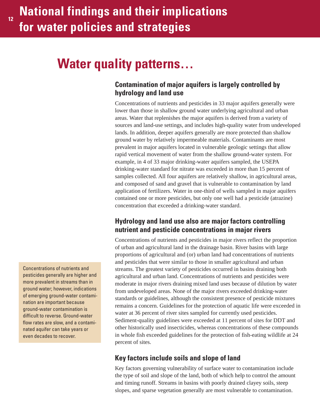# **Water quality patterns…**

### **Contamination of major aquifers is largely controlled by hydrology and land use**

Concentrations of nutrients and pesticides in 33 major aquifers generally were lower than those in shallow ground water underlying agricultural and urban areas. Water that replenishes the major aquifers is derived from a variety of sources and land-use settings, and includes high-quality water from undeveloped lands. In addition, deeper aquifers generally are more protected than shallow ground water by relatively impermeable materials. Contaminants are most prevalent in major aquifers located in vulnerable geologic settings that allow rapid vertical movement of water from the shallow ground-water system. For example, in 4 of 33 major drinking-water aquifers sampled, the USEPA drinking-water standard for nitrate was exceeded in more than 15 percent of samples collected. All four aquifers are relatively shallow, in agricultural areas, and composed of sand and gravel that is vulnerable to contamination by land application of fertilizers. Water in one-third of wells sampled in major aquifers contained one or more pesticides, but only one well had a pesticide (atrazine) concentration that exceeded a drinking-water standard.

### **Hydrology and land use also are major factors controlling nutrient and pesticide concentrations in major rivers**

Concentrations of nutrients and pesticides in major rivers reflect the proportion of urban and agricultural land in the drainage basin. River basins with large proportions of agricultural and (or) urban land had concentrations of nutrients and pesticides that were similar to those in smaller agricultural and urban streams. The greatest variety of pesticides occurred in basins draining both agricultural and urban land. Concentrations of nutrients and pesticides were moderate in major rivers draining mixed land uses because of dilution by water from undeveloped areas. None of the major rivers exceeded drinking-water standards or guidelines, although the consistent presence of pesticide mixtures remains a concern. Guidelines for the protection of aquatic life were exceeded in water at 36 percent of river sites sampled for currently used pesticides. Sediment-quality guidelines were exceeded at 11 percent of sites for DDT and other historically used insecticides, whereas concentrations of these compounds in whole fish exceeded guidelines for the protection of fish-eating wildlife at 24 percent of sites.

### **Key factors include soils and slope of land**

Key factors governing vulnerability of surface water to contamination include the type of soil and slope of the land, both of which help to control the amount and timing runoff. Streams in basins with poorly drained clayey soils, steep slopes, and sparse vegetation generally are most vulnerable to contamination.

Concentrations of nutrients and pesticides generally are higher and more prevalent in streams than in ground water; however, indications of emerging ground-water contamination are important because ground-water contamination is difficult to reverse. Ground-water flow rates are slow, and a contaminated aquifer can take years or even decades to recover.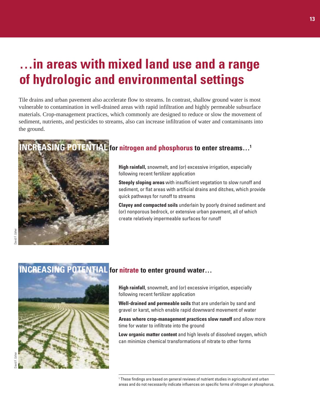# **…in areas with mixed land use and a range of hydrologic and environmental settings**

Tile drains and urban pavement also accelerate flow to streams. In contrast, shallow ground water is most vulnerable to contamination in well-drained areas with rapid infiltration and highly permeable subsurface materials. Crop-management practices, which commonly are designed to reduce or slow the movement of sediment, nutrients, and pesticides to streams, also can increase infiltration of water and contaminants into the ground.

### **INCREASING POTENTIAL for nitrogen and phosphorus to enter streams…1**



**High rainfall,** snowmelt, and (or) excessive irrigation, especially following recent fertilizer application

**Steeply sloping areas** with insufficient vegetation to slow runoff and sediment, or flat areas with artificial drains and ditches, which provide quick pathways for runoff to streams

**Clayey and compacted soils** underlain by poorly drained sediment and (or) nonporous bedrock, or extensive urban pavement, all of which create relatively impermeable surfaces for runoff



### **INCREASING POTENTIAL for nitrate to enter ground water…**

**High rainfall**, snowmelt, and (or) excessive irrigation, especially following recent fertilizer application

**Well-drained and permeable soils** that are underlain by sand and gravel or karst, which enable rapid downward movement of water

**Areas where crop-management practices slow runoff** and allow more time for water to infiltrate into the ground

**Low organic matter content** and high levels of dissolved oxygen, which can minimize chemical transformations of nitrate to other forms

<sup>1</sup> These findings are based on general reviews of nutrient studies in agricultural and urban areas and do not necessarily indicate influences on specific forms of nitrogen or phosphorus.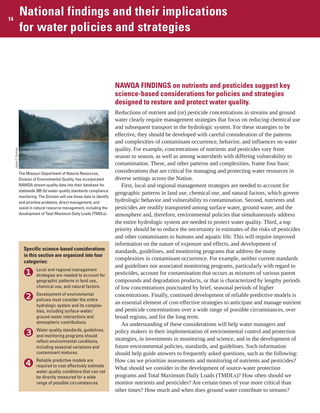

The Missouri Department of Natural Resources, Division of Environmental Quality, has incorporated NAWQA stream-quality data into their database for statewide 305 (b) water-quality standards compliance monitoring. The Division will use these data to identify and prioritize problems, direct management, and assist in natural resource management, including the development of Total Maximum Daily Loads (TMDLs).

#### **Specific science-based considerations in this section are organized into four categories:**

- ❶ Local and regional management strategies are needed to account for geographic patterns in land use, chemical use, and natural factors.
- ❷ Development of environmental policies must consider the entire hydrologic system and its complexities, including surface-water/ ground-water interactions and atmospheric contributions.
- ❸ Water-quality standards, guidelines, and monitoring programs should reflect environmental conditions, including seasonal variations and contaminant mixtures.
- ❹ Reliable predictive models are required to cost effectively estimate water-quality conditions that can not be directly measured for a wide range of possible circumstances.

### **NAWQA FINDINGS on nutrients and pesticides suggest key science-based considerations for policies and strategies designed to restore and protect water quality.**

Reductions of nutrient and (or) pesticide concentrations in streams and ground water clearly require management strategies that focus on reducing chemical use and subsequent transport in the hydrologic system. For these strategies to be effective, they should be developed with careful consideration of the patterns and complexities of contaminant occurrence, behavior, and influences on water quality. For example, concentrations of nutrients and pesticides vary from season to season, as well as among watersheds with differing vulnerability to contamination. These, and other patterns and complexities, frame four basic considerations that are critical for managing and protecting water resources in diverse settings across the Nation.

First, local and regional management strategies are needed to account for geographic patterns in land use, chemical use, and natural factors, which govern hydrologic behavior and vulnerability to contamination. Second, nutrients and pesticides are readily transported among surface water, ground water, and the atmosphere and, therefore, environmental policies that simultaneously address the entire hydrologic system are needed to protect water quality. Third, a top priority should be to reduce the uncertainty in estimates of the risks of pesticides and other contaminants to humans and aquatic life. This will require improved information on the nature of exposure and effects, and development of standards, guidelines, and monitoring programs that address the many complexities in contaminant occurrence. For example, neither current standards and guidelines nor associated monitoring programs, particularly with regard to pesticides, account for contamination that occurs as mixtures of various parent compounds and degradation products, or that is characterized by lengthy periods of low concentrations punctuated by brief, seasonal periods of higher concentrations. Finally, continued development of reliable predictive models is an essential element of cost-effective strategies to anticipate and manage nutrient and pesticide concentrations over a wide range of possible circumstances, over broad regions, and for the long term.

An understanding of these considerations will help water managers and policy makers in their implementation of environmental control and protection strategies, in investments in monitoring and science, and in the development of future environmental policies, standards, and guidelines. Such information should help guide answers to frequently asked questions, such as the following: How can we prioritize assessments and monitoring of nutrients and pesticides? What should we consider in the development of source-water protection programs and Total Maximum Daily Loads (TMDLs)? How often should we monitor nutrients and pesticides? Are certain times of year more critical than other times? How much and when does ground water contribute to streams?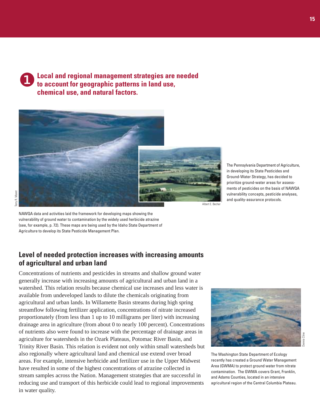❶ **Local and regional management strategies are needed to account for geographic patterns in land use, chemical use, and natural factors.**



NAWQA data and activities laid the framework for developing maps showing the vulnerability of ground water to contamination by the widely used herbicide atrazine (see, for example, p. 72). These maps are being used by the Idaho State Department of Agriculture to develop its State Pesticide Management Plan.

### **Level of needed protection increases with increasing amounts of agricultural and urban land**

Concentrations of nutrients and pesticides in streams and shallow ground water generally increase with increasing amounts of agricultural and urban land in a watershed. This relation results because chemical use increases and less water is available from undeveloped lands to dilute the chemicals originating from agricultural and urban lands. In Willamette Basin streams during high spring streamflow following fertilizer application, concentrations of nitrate increased proportionately (from less than 1 up to 10 milligrams per liter) with increasing drainage area in agriculture (from about 0 to nearly 100 percent). Concentrations of nutrients also were found to increase with the percentage of drainage areas in agriculture for watersheds in the Ozark Plateaus, Potomac River Basin, and Trinity River Basin. This relation is evident not only within small watersheds but also regionally where agricultural land and chemical use extend over broad areas. For example, intensive herbicide and fertilizer use in the Upper Midwest have resulted in some of the highest concentrations of atrazine collected in stream samples across the Nation. Management strategies that are successful in reducing use and transport of this herbicide could lead to regional improvements in water quality.



The Washington State Department of Ecology recently has created a Ground Water Management Area (GWMA) to protect ground water from nitrate contamination. The GWMA covers Grant, Franklin, and Adams Counties, located in an intensive agricultural region of the Central Columbia Plateau.

Dennis Cline

The Pennsylvania Department of Agriculture, in developing its State Pesticides and Ground-Water Strategy, has decided to prioritize ground-water areas for assess-

ments of pesticides on the basis of NAWQA vulnerability concepts, pesticide analyses, and quality-assurance protocols.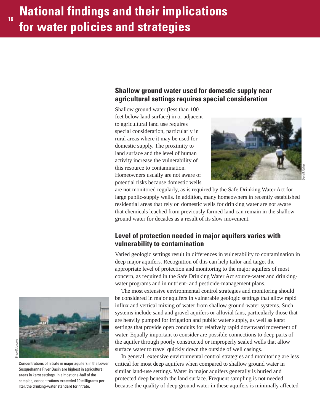### **Shallow ground water used for domestic supply near agricultural settings requires special consideration**

Shallow ground water (less than 100 feet below land surface) in or adjacent to agricultural land use requires special consideration, particularly in rural areas where it may be used for domestic supply. The proximity to land surface and the level of human activity increase the vulnerability of this resource to contamination. Homeowners usually are not aware of potential risks because domestic wells



David F. Usher

are not monitored regularly, as is required by the Safe Drinking Water Act for large public-supply wells. In addition, many homeowners in recently established residential areas that rely on domestic wells for drinking water are not aware that chemicals leached from previously farmed land can remain in the shallow ground water for decades as a result of its slow movement.

### **Level of protection needed in major aquifers varies with vulnerability to contamination**

Varied geologic settings result in differences in vulnerability to contamination in deep major aquifers. Recognition of this can help tailor and target the appropriate level of protection and monitoring to the major aquifers of most concern, as required in the Safe Drinking Water Act source-water and drinkingwater programs and in nutrient- and pesticide-management plans.

The most extensive environmental control strategies and monitoring should be considered in major aquifers in vulnerable geologic settings that allow rapid influx and vertical mixing of water from shallow ground-water systems. Such systems include sand and gravel aquifers or alluvial fans, particularly those that are heavily pumped for irrigation and public water supply, as well as karst settings that provide open conduits for relatively rapid downward movement of water. Equally important to consider are possible connections to deep parts of the aquifer through poorly constructed or improperly sealed wells that allow surface water to travel quickly down the outside of well casings.

In general, extensive environmental control strategies and monitoring are less critical for most deep aquifers when compared to shallow ground water in similar land-use settings. Water in major aquifers generally is buried and protected deep beneath the land surface. Frequent sampling is not needed because the quality of deep ground water in these aquifers is minimally affected



Bruce D. Lindsey Bruce D. Lindsey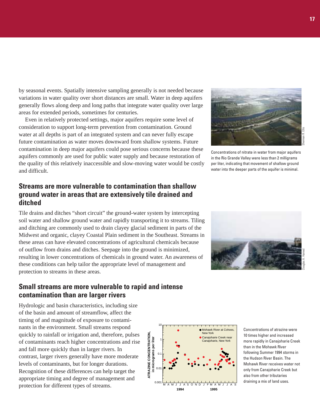by seasonal events. Spatially intensive sampling generally is not needed because variations in water quality over short distances are small. Water in deep aquifers generally flows along deep and long paths that integrate water quality over large areas for extended periods, sometimes for centuries.

Even in relatively protected settings, major aquifers require some level of consideration to support long-term prevention from contamination. Ground water at all depths is part of an integrated system and can never fully escape future contamination as water moves downward from shallow systems. Future contamination in deep major aquifers could pose serious concerns because these aquifers commonly are used for public water supply and because restoration of the quality of this relatively inaccessible and slow-moving water would be costly and difficult.

### **Streams are more vulnerable to contamination than shallow ground water in areas that are extensively tile drained and ditched**

Tile drains and ditches "short circuit" the ground-water system by intercepting soil water and shallow ground water and rapidly transporting it to streams. Tiling and ditching are commonly used to drain clayey glacial sediment in parts of the Midwest and organic, clayey Coastal Plain sediment in the Southeast. Streams in these areas can have elevated concentrations of agricultural chemicals because of outflow from drains and ditches. Seepage into the ground is minimized, resulting in lower concentrations of chemicals in ground water. An awareness of these conditions can help tailor the appropriate level of management and protection to streams in these areas.

### **Small streams are more vulnerable to rapid and intense contamination than are larger rivers**

Hydrologic and basin characteristics, including size of the basin and amount of streamflow, affect the timing of and magnitude of exposure to contaminants in the environment. Small streams respond quickly to rainfall or irrigation and, therefore, pulses of contaminants reach higher concentrations and rise and fall more quickly than in larger rivers. In contrast, larger rivers generally have more moderate levels of contaminants, but for longer durations. Recognition of these differences can help target the appropriate timing and degree of management and protection for different types of streams.



Concentrations of nitrate in water from major aquifers in the Rio Grande Valley were less than 2 milligrams per liter, indicating that movement of shallow ground water into the deeper parts of the aquifer is minimal.





Concentrations of atrazine were 10 times higher and increased more rapidly in Canajoharie Creek than in the Mohawk River following Summer 1994 storms in the Hudson River Basin. The Mohawk River receives water not only from Canajoharie Creek but also from other tributaries draining a mix of land uses.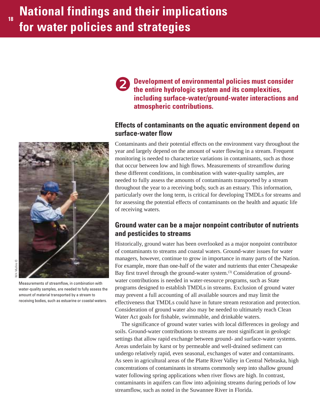

**V.H. Mullins** W.H. Mullins ©

Measurements of streamflow, in combination with water-quality samples, are needed to fully assess the amount of material transported by a stream to receiving bodies, such as estuarine or coastal waters.

**Development of environmental policies must consider the entire hydrologic system and its complexities, including surface-water/ground-water interactions and atmospheric contributions.** ❷

### **Effects of contaminants on the aquatic environment depend on surface-water flow**

Contaminants and their potential effects on the environment vary throughout the year and largely depend on the amount of water flowing in a stream. Frequent monitoring is needed to characterize variations in contaminants, such as those that occur between low and high flows. Measurements of streamflow during these different conditions, in combination with water-quality samples, are needed to fully assess the amounts of contaminants transported by a stream throughout the year to a receiving body, such as an estuary. This information, particularly over the long term, is critical for developing TMDLs for streams and for assessing the potential effects of contaminants on the health and aquatic life of receiving waters.

### **Ground water can be a major nonpoint contributor of nutrients and pesticides to streams**

Historically, ground water has been overlooked as a major nonpoint contributor of contaminants to streams and coastal waters. Ground-water issues for water managers, however, continue to grow in importance in many parts of the Nation. For example, more than one-half of the water and nutrients that enter Chesapeake Bay first travel through the ground-water system.<sup>(3)</sup> Consideration of groundwater contributions is needed in water-resource programs, such as State programs designed to establish TMDLs in streams. Exclusion of ground water may prevent a full accounting of all available sources and may limit the effectiveness that TMDLs could have in future stream restoration and protection. Consideration of ground water also may be needed to ultimately reach Clean Water Act goals for fishable, swimmable, and drinkable waters.

The significance of ground water varies with local differences in geology and soils. Ground-water contributions to streams are most significant in geologic settings that allow rapid exchange between ground- and surface-water systems. Areas underlain by karst or by permeable and well-drained sediment can undergo relatively rapid, even seasonal, exchanges of water and contaminants. As seen in agricultural areas of the Platte River Valley in Central Nebraska, high concentrations of contaminants in streams commonly seep into shallow ground water following spring applications when river flows are high. In contrast, contaminants in aquifers can flow into adjoining streams during periods of low streamflow, such as noted in the Suwannee River in Florida.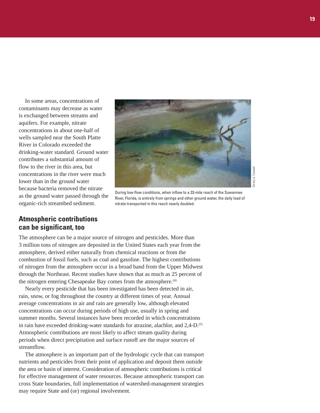In some areas, concentrations of contaminants may decrease as water is exchanged between streams and aquifers. For example, nitrate concentrations in about one-half of wells sampled near the South Platte River in Colorado exceeded the drinking-water standard. Ground water contributes a substantial amount of flow to the river in this area, but concentrations in the river were much lower than in the ground water because bacteria removed the nitrate as the ground water passed through the organic-rich streambed sediment.



During low-flow conditions, when inflow to a 33-mile reach of the Suwannee River, Florida, is entirely from springs and other ground water, the daily load of nitrate transported in this reach nearly doubled.

### **Atmospheric contributions can be significant, too**

The atmosphere can be a major source of nitrogen and pesticides. More than 3 million tons of nitrogen are deposited in the United States each year from the atmosphere, derived either naturally from chemical reactions or from the combustion of fossil fuels, such as coal and gasoline. The highest contributions of nitrogen from the atmosphere occur in a broad band from the Upper Midwest through the Northeast. Recent studies have shown that as much as 25 percent of the nitrogen entering Chesapeake Bay comes from the atmosphere.<sup>(4)</sup>

Nearly every pesticide that has been investigated has been detected in air, rain, snow, or fog throughout the country at different times of year. Annual average concentrations in air and rain are generally low, although elevated concentrations can occur during periods of high use, usually in spring and summer months. Several instances have been recorded in which concentrations in rain have exceeded drinking-water standards for atrazine, alachlor, and 2.4-D.<sup>(5)</sup> Atmospheric contributions are most likely to affect stream quality during periods when direct precipitation and surface runoff are the major sources of streamflow.

The atmosphere is an important part of the hydrologic cycle that can transport nutrients and pesticides from their point of application and deposit them outside the area or basin of interest. Consideration of atmospheric contributions is critical for effective management of water resources. Because atmospheric transport can cross State boundaries, full implementation of watershed-management strategies may require State and (or) regional involvement.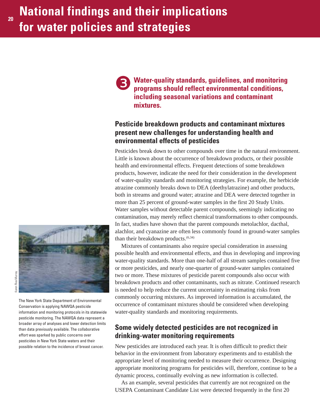❸

**Water-quality standards, guidelines, and monitoring programs should reflect environmental conditions, including seasonal variations and contaminant mixtures.**

### **Pesticide breakdown products and contaminant mixtures present new challenges for understanding health and environmental effects of pesticides**

Pesticides break down to other compounds over time in the natural environment. Little is known about the occurrence of breakdown products, or their possible health and environmental effects. Frequent detections of some breakdown products, however, indicate the need for their consideration in the development of water-quality standards and monitoring strategies. For example, the herbicide atrazine commonly breaks down to DEA (deethylatrazine) and other products, both in streams and ground water; atrazine and DEA were detected together in more than 25 percent of ground-water samples in the first 20 Study Units. Water samples without detectable parent compounds, seemingly indicating no contamination, may merely reflect chemical transformations to other compounds. In fact, studies have shown that the parent compounds metolachlor, dacthal, alachlor, and cyanazine are often less commonly found in ground-water samples than their breakdown products. $(6,34)$ 

Mixtures of contaminants also require special consideration in assessing possible health and environmental effects, and thus in developing and improving water-quality standards. More than one-half of all stream samples contained five or more pesticides, and nearly one-quarter of ground-water samples contained two or more. These mixtures of pesticide parent compounds also occur with breakdown products and other contaminants, such as nitrate. Continued research is needed to help reduce the current uncertainty in estimating risks from commonly occurring mixtures. As improved information is accumulated, the occurrence of contaminant mixtures should be considered when developing water-quality standards and monitoring requirements.

### **Some widely detected pesticides are not recognized in drinking-water monitoring requirements**

New pesticides are introduced each year. It is often difficult to predict their behavior in the environment from laboratory experiments and to establish the appropriate level of monitoring needed to measure their occurrence. Designing appropriate monitoring programs for pesticides will, therefore, continue to be a dynamic process, continually evolving as new information is collected.

As an example, several pesticides that currently are not recognized on the USEPA Contaminant Candidate List were detected frequently in the first 20



The New York State Department of Environmental Conservation is applying NAWQA pesticide information and monitoring protocols in its statewide pesticide monitoring. The NAWQA data represent a broader array of analyses and lower detection limits than data previously available. The collaborative effort was sparked by public concerns over pesticides in New York State waters and their possible relation to the incidence of breast cancer.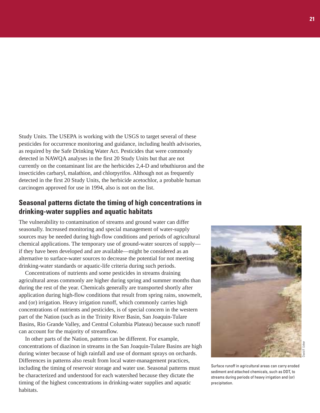Study Units. The USEPA is working with the USGS to target several of these pesticides for occurrence monitoring and guidance, including health advisories, as required by the Safe Drinking Water Act. Pesticides that were commonly detected in NAWQA analyses in the first 20 Study Units but that are not currently on the contaminant list are the herbicides 2,4-D and tebuthiuron and the insecticides carbaryl, malathion, and chlorpyrifos. Although not as frequently detected in the first 20 Study Units, the herbicide acetochlor, a probable human carcinogen approved for use in 1994, also is not on the list.

### **Seasonal patterns dictate the timing of high concentrations in drinking-water supplies and aquatic habitats**

The vulnerability to contamination of streams and ground water can differ seasonally. Increased monitoring and special management of water-supply sources may be needed during high-flow conditions and periods of agricultural chemical applications. The temporary use of ground-water sources of supply if they have been developed and are available—might be considered as an alternative to surface-water sources to decrease the potential for not meeting drinking-water standards or aquatic-life criteria during such periods.

Concentrations of nutrients and some pesticides in streams draining agricultural areas commonly are higher during spring and summer months than during the rest of the year. Chemicals generally are transported shortly after application during high-flow conditions that result from spring rains, snowmelt, and (or) irrigation. Heavy irrigation runoff, which commonly carries high concentrations of nutrients and pesticides, is of special concern in the western part of the Nation (such as in the Trinity River Basin, San Joaquin-Tulare Basins, Rio Grande Valley, and Central Columbia Plateau) because such runoff can account for the majority of streamflow.

In other parts of the Nation, patterns can be different. For example, concentrations of diazinon in streams in the San Joaquin-Tulare Basins are high during winter because of high rainfall and use of dormant sprays on orchards. Differences in patterns also result from local water-management practices, including the timing of reservoir storage and water use. Seasonal patterns must be characterized and understood for each watershed because they dictate the timing of the highest concentrations in drinking-water supplies and aquatic habitats.



Surface runoff in agricultural areas can carry eroded sediment and attached chemicals, such as DDT, to streams during periods of heavy irrigation and (or) precipitation.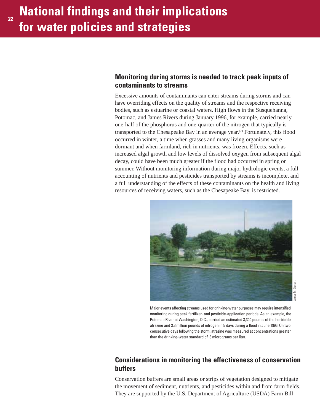### **Monitoring during storms is needed to track peak inputs of contaminants to streams**

Excessive amounts of contaminants can enter streams during storms and can have overriding effects on the quality of streams and the respective receiving bodies, such as estuarine or coastal waters. High flows in the Susquehanna, Potomac, and James Rivers during January 1996, for example, carried nearly one-half of the phosphorus and one-quarter of the nitrogen that typically is transported to the Chesapeake Bay in an average year.<sup> $(7)$ </sup> Fortunately, this flood occurred in winter, a time when grasses and many living organisms were dormant and when farmland, rich in nutrients, was frozen. Effects, such as increased algal growth and low levels of dissolved oxygen from subsequent algal decay, could have been much greater if the flood had occurred in spring or summer. Without monitoring information during major hydrologic events, a full accounting of nutrients and pesticides transported by streams is incomplete, and a full understanding of the effects of these contaminants on the health and living resources of receiving waters, such as the Chesapeake Bay, is restricted.



Major events affecting streams used for drinking-water purposes may require intensified monitoring during peak fertilizer- and pesticide-application periods. As an example, the Potomac River at Washington, D.C., carried an estimated 3,300 pounds of the herbicide atrazine and 3.3 million pounds of nitrogen in 5 days during a flood in June 1996. On two consecutive days following the storm, atrazine was measured at concentrations greater than the drinking-water standard of 3 micrograms per liter.

### **Considerations in monitoring the effectiveness of conservation buffers**

Conservation buffers are small areas or strips of vegetation designed to mitigate the movement of sediment, nutrients, and pesticides within and from farm fields. They are supported by the U.S. Department of Agriculture (USDA) Farm Bill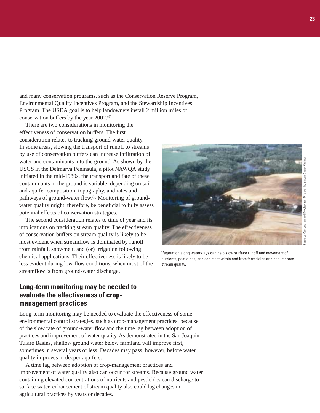and many conservation programs, such as the Conservation Reserve Program, Environmental Quality Incentives Program, and the Stewardship Incentives Program. The USDA goal is to help landowners install 2 million miles of conservation buffers by the year 2002.<sup>(8)</sup>

There are two considerations in monitoring the effectiveness of conservation buffers. The first consideration relates to tracking ground-water quality. In some areas, slowing the transport of runoff to streams by use of conservation buffers can increase infiltration of water and contaminants into the ground. As shown by the USGS in the Delmarva Peninsula, a pilot NAWQA study initiated in the mid-1980s, the transport and fate of these contaminants in the ground is variable, depending on soil and aquifer composition, topography, and rates and pathways of ground-water flow.<sup>(9)</sup> Monitoring of groundwater quality might, therefore, be beneficial to fully assess potential effects of conservation strategies.

The second consideration relates to time of year and its implications on tracking stream quality. The effectiveness of conservation buffers on stream quality is likely to be most evident when streamflow is dominated by runoff from rainfall, snowmelt, and (or) irrigation following chemical applications. Their effectiveness is likely to be less evident during low-flow conditions, when most of the streamflow is from ground-water discharge.

### **Long-term monitoring may be needed to evaluate the effectiveness of cropmanagement practices**

Long-term monitoring may be needed to evaluate the effectiveness of some environmental control strategies, such as crop-management practices, because of the slow rate of ground-water flow and the time lag between adoption of practices and improvement of water quality. As demonstrated in the San Joaquin-Tulare Basins, shallow ground water below farmland will improve first, sometimes in several years or less. Decades may pass, however, before water quality improves in deeper aquifers.

A time lag between adoption of crop-management practices and improvement of water quality also can occur for streams. Because ground water containing elevated concentrations of nutrients and pesticides can discharge to surface water, enhancement of stream quality also could lag changes in agricultural practices by years or decades.



Vegetation along waterways can help slow surface runoff and movement of nutrients, pesticides, and sediment within and from farm fields and can improve stream quality.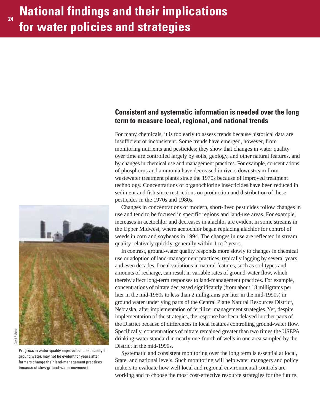### **Consistent and systematic information is needed over the long term to measure local, regional, and national trends**

For many chemicals, it is too early to assess trends because historical data are insufficient or inconsistent. Some trends have emerged, however, from monitoring nutrients and pesticides; they show that changes in water quality over time are controlled largely by soils, geology, and other natural features, and by changes in chemical use and management practices. For example, concentrations of phosphorus and ammonia have decreased in rivers downstream from wastewater treatment plants since the 1970s because of improved treatment technology. Concentrations of organochlorine insecticides have been reduced in sediment and fish since restrictions on production and distribution of these pesticides in the 1970s and 1980s.

Changes in concentrations of modern, short-lived pesticides follow changes in use and tend to be focused in specific regions and land-use areas. For example, increases in acetochlor and decreases in alachlor are evident in some streams in the Upper Midwest, where acetochlor began replacing alachlor for control of weeds in corn and soybeans in 1994. The changes in use are reflected in stream quality relatively quickly, generally within 1 to 2 years.

In contrast, ground-water quality responds more slowly to changes in chemical use or adoption of land-management practices, typically lagging by several years and even decades. Local variations in natural features, such as soil types and amounts of recharge, can result in variable rates of ground-water flow, which thereby affect long-term responses to land-management practices. For example, concentrations of nitrate decreased significantly (from about 18 milligrams per liter in the mid-1980s to less than 2 milligrams per liter in the mid-1990s) in ground water underlying parts of the Central Platte Natural Resources District, Nebraska, after implementation of fertilizer management strategies. Yet, despite implementation of the strategies, the response has been delayed in other parts of the District because of differences in local features controlling ground-water flow. Specifically, concentrations of nitrate remained greater than two times the USEPA drinking-water standard in nearly one-fourth of wells in one area sampled by the District in the mid-1990s.

Systematic and consistent monitoring over the long term is essential at local, State, and national levels. Such monitoring will help water managers and policy makers to evaluate how well local and regional environmental controls are working and to choose the most cost-effective resource strategies for the future.



Progress in water-quality improvement, especially in ground water, may not be evident for years after farmers change their land-management practices

because of slow ground-water movement.